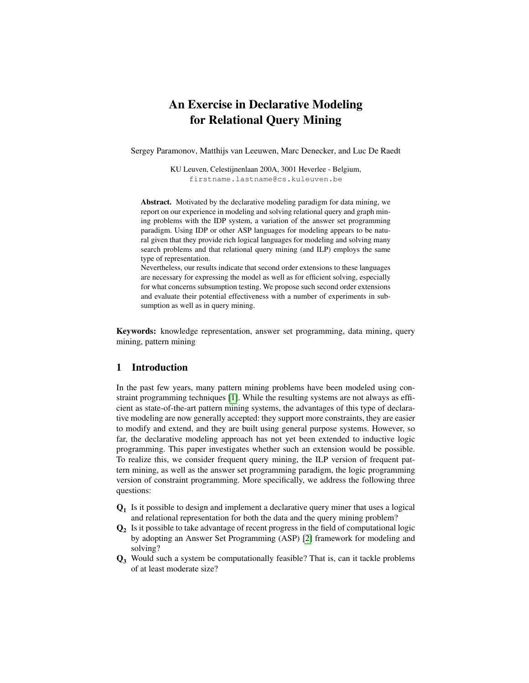# An Exercise in Declarative Modeling for Relational Query Mining

Sergey Paramonov, Matthijs van Leeuwen, Marc Denecker, and Luc De Raedt

KU Leuven, Celestijnenlaan 200A, 3001 Heverlee - Belgium, firstname.lastname@cs.kuleuven.be

Abstract. Motivated by the declarative modeling paradigm for data mining, we report on our experience in modeling and solving relational query and graph mining problems with the IDP system, a variation of the answer set programming paradigm. Using IDP or other ASP languages for modeling appears to be natural given that they provide rich logical languages for modeling and solving many search problems and that relational query mining (and ILP) employs the same type of representation.

Nevertheless, our results indicate that second order extensions to these languages are necessary for expressing the model as well as for efficient solving, especially for what concerns subsumption testing. We propose such second order extensions and evaluate their potential effectiveness with a number of experiments in subsumption as well as in query mining.

Keywords: knowledge representation, answer set programming, data mining, query mining, pattern mining

# 1 Introduction

In the past few years, many pattern mining problems have been modeled using constraint programming techniques [\[1\]](#page-12-0). While the resulting systems are not always as efficient as state-of-the-art pattern mining systems, the advantages of this type of declarative modeling are now generally accepted: they support more constraints, they are easier to modify and extend, and they are built using general purpose systems. However, so far, the declarative modeling approach has not yet been extended to inductive logic programming. This paper investigates whether such an extension would be possible. To realize this, we consider frequent query mining, the ILP version of frequent pattern mining, as well as the answer set programming paradigm, the logic programming version of constraint programming. More specifically, we address the following three questions:

- $Q_1$  Is it possible to design and implement a declarative query miner that uses a logical and relational representation for both the data and the query mining problem?
- $Q_2$  Is it possible to take advantage of recent progress in the field of computational logic by adopting an Answer Set Programming (ASP) [\[2\]](#page-12-1) framework for modeling and solving?
- Q<sup>3</sup> Would such a system be computationally feasible? That is, can it tackle problems of at least moderate size?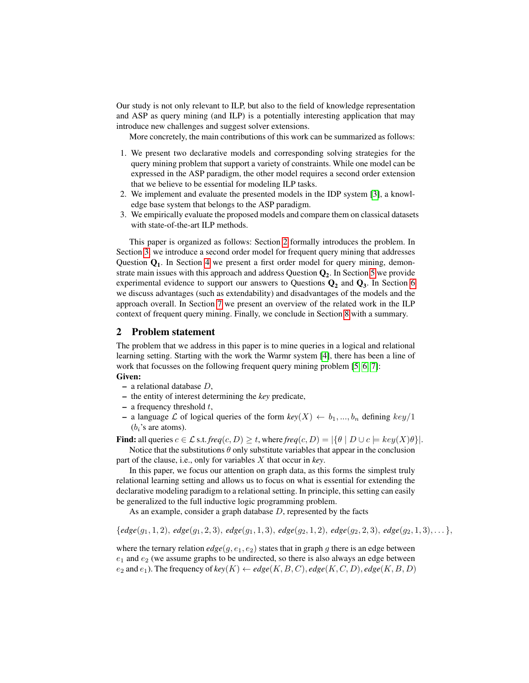Our study is not only relevant to ILP, but also to the field of knowledge representation and ASP as query mining (and ILP) is a potentially interesting application that may introduce new challenges and suggest solver extensions.

More concretely, the main contributions of this work can be summarized as follows:

- 1. We present two declarative models and corresponding solving strategies for the query mining problem that support a variety of constraints. While one model can be expressed in the ASP paradigm, the other model requires a second order extension that we believe to be essential for modeling ILP tasks.
- 2. We implement and evaluate the presented models in the IDP system [\[3\]](#page-12-2), a knowledge base system that belongs to the ASP paradigm.
- 3. We empirically evaluate the proposed models and compare them on classical datasets with state-of-the-art ILP methods.

This paper is organized as follows: Section [2](#page-1-0) formally introduces the problem. In Section [3,](#page-2-0) we introduce a second order model for frequent query mining that addresses Question  $Q_1$ . In Section [4](#page-6-0) we present a first order model for query mining, demonstrate main issues with this approach and address Question  $\mathbf{Q}_2$ . In Section [5](#page-8-0) we provide experimental evidence to support our answers to Questions  $Q_2$  and  $Q_3$ . In Section [6](#page-10-0) we discuss advantages (such as extendability) and disadvantages of the models and the approach overall. In Section [7](#page-11-0) we present an overview of the related work in the ILP context of frequent query mining. Finally, we conclude in Section [8](#page-12-3) with a summary.

#### <span id="page-1-0"></span>2 Problem statement

The problem that we address in this paper is to mine queries in a logical and relational learning setting. Starting with the work the Warmr system [\[4\]](#page-12-4), there has been a line of work that focusses on the following frequent query mining problem [\[5,](#page-12-5) [6,](#page-12-6) [7\]](#page-12-7):

#### Given:

- $-$  a relational database  $D$ ,
- the entity of interest determining the *key* predicate,
- $-$  a frequency threshold  $t$ ,
- a language L of logical queries of the form  $key(X) \leftarrow b_1, ..., b_n$  defining  $key/1$  $(b_i)$ 's are atoms).

**Find:** all queries  $c \in \mathcal{L}$  s.t. *freq*(*c*, *D*)  $\geq t$ , where *freq*(*c*, *D*) = { $\theta$  | *D*  $\cup$  *c*  $\models$  *key*(*X*) $\theta$ }. Notice that the substitutions  $\theta$  only substitute variables that appear in the conclusion

part of the clause, i.e., only for variables X that occur in *key*.

In this paper, we focus our attention on graph data, as this forms the simplest truly relational learning setting and allows us to focus on what is essential for extending the declarative modeling paradigm to a relational setting. In principle, this setting can easily be generalized to the full inductive logic programming problem.

As an example, consider a graph database D, represented by the facts

 ${edgee(g_1, 1, 2), edge(g_1, 2, 3), edge(g_1, 1, 3), edge(g_2, 1, 2), edge(g_2, 2, 3), edge(g_2, 1, 3), \ldots}$ 

where the ternary relation  $edge(q, e_1, e_2)$  states that in graph g there is an edge between  $e_1$  and  $e_2$  (we assume graphs to be undirected, so there is also always an edge between  $e_2$  and  $e_1$ ). The frequency of  $key(K) \leftarrow edge(K, B, C), edge(K, C, D), edge(K, B, D)$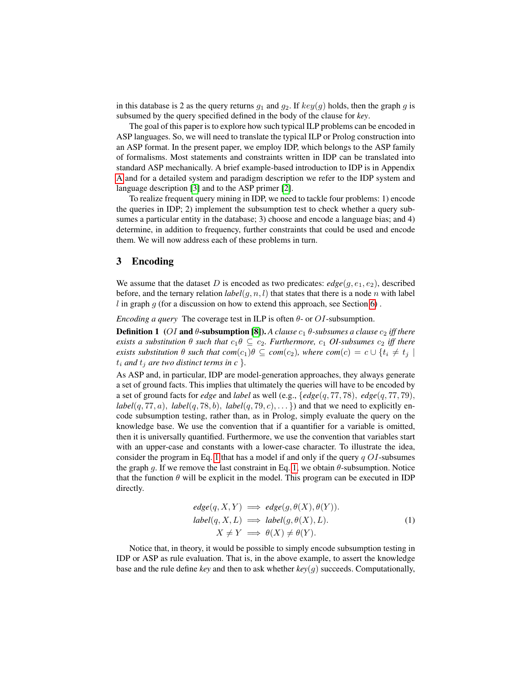in this database is 2 as the query returns  $g_1$  and  $g_2$ . If  $key(g)$  holds, then the graph g is subsumed by the query specified defined in the body of the clause for *key*.

The goal of this paper is to explore how such typical ILP problems can be encoded in ASP languages. So, we will need to translate the typical ILP or Prolog construction into an ASP format. In the present paper, we employ IDP, which belongs to the ASP family of formalisms. Most statements and constraints written in IDP can be translated into standard ASP mechanically. A brief example-based introduction to IDP is in Appendix [A](#page-14-0) and for a detailed system and paradigm description we refer to the IDP system and language description [\[3\]](#page-12-2) and to the ASP primer [\[2\]](#page-12-1).

To realize frequent query mining in IDP, we need to tackle four problems: 1) encode the queries in IDP; 2) implement the subsumption test to check whether a query subsumes a particular entity in the database; 3) choose and encode a language bias; and 4) determine, in addition to frequency, further constraints that could be used and encode them. We will now address each of these problems in turn.

# <span id="page-2-0"></span>3 Encoding

We assume that the dataset D is encoded as two predicates:  $edge(g, e_1, e_2)$ , described before, and the ternary relation  $label(g, n, l)$  that states that there is a node n with label  $l$  in graph  $g$  (for a discussion on how to extend this approach, see Section [6\)](#page-10-0).

*Encoding a query* The coverage test in ILP is often  $\theta$ - or  $OI$ -subsumption.

**Definition 1** (OI and θ-subsumption [\[8\]](#page-12-8)). A clause  $c_1$  θ-subsumes a clause  $c_2$  iff there *exists a substitution*  $\theta$  *such that*  $c_1 \theta \subseteq c_2$ *. Furthermore,*  $c_1$  *OI-subsumes*  $c_2$  *iff there exists substitution*  $\theta$  *such that com*( $c_1$ ) $\theta \subseteq com(c_2)$ *, where com*( $c$ ) =  $c \cup \{t_i \neq t_j \mid t_j \neq s_j\}$  $t_i$  *and*  $t_j$  *are two distinct terms in c* }.

As ASP and, in particular, IDP are model-generation approaches, they always generate a set of ground facts. This implies that ultimately the queries will have to be encoded by a set of ground facts for *edge* and *label* as well (e.g., {*edge*(q, 77, 78), *edge*(q, 77, 79),  $label(q, 77, a), label(q, 78, b), label(q, 79, c), \ldots$ }) and that we need to explicitly encode subsumption testing, rather than, as in Prolog, simply evaluate the query on the knowledge base. We use the convention that if a quantifier for a variable is omitted, then it is universally quantified. Furthermore, we use the convention that variables start with an upper-case and constants with a lower-case character. To illustrate the idea, consider the program in Eq. [1](#page-2-1) that has a model if and only if the query  $q O I$ -subsumes the graph g. If we remove the last constraint in Eq. [1,](#page-2-1) we obtain  $\theta$ -subsumption. Notice that the function  $\theta$  will be explicit in the model. This program can be executed in IDP directly.

<span id="page-2-1"></span>
$$
edge(q, X, Y) \implies edge(g, \theta(X), \theta(Y)).
$$
  
\n
$$
label(q, X, L) \implies label(g, \theta(X), L).
$$
  
\n
$$
X \neq Y \implies \theta(X) \neq \theta(Y).
$$
\n(1)

Notice that, in theory, it would be possible to simply encode subsumption testing in IDP or ASP as rule evaluation. That is, in the above example, to assert the knowledge base and the rule define *key* and then to ask whether *key*(g) succeeds. Computationally,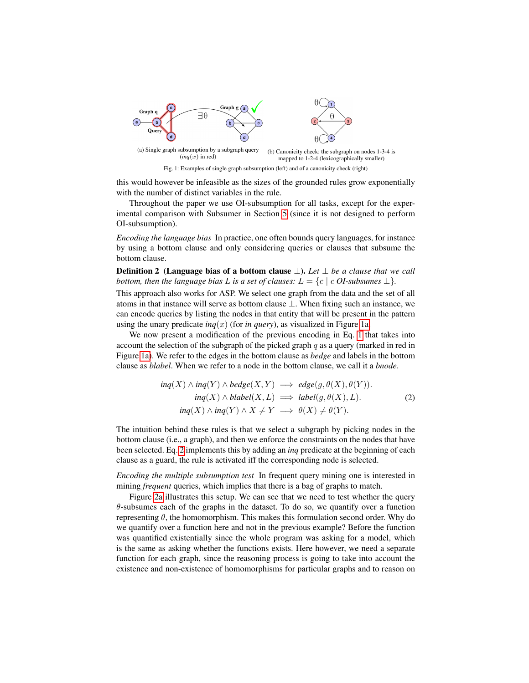<span id="page-3-0"></span>

this would however be infeasible as the sizes of the grounded rules grow exponentially with the number of distinct variables in the rule.

Throughout the paper we use OI-subsumption for all tasks, except for the experimental comparison with Subsumer in Section [5](#page-8-0) (since it is not designed to perform OI-subsumption).

*Encoding the language bias* In practice, one often bounds query languages, for instance by using a bottom clause and only considering queries or clauses that subsume the bottom clause.

Definition 2 (Language bias of a bottom clause ⊥). *Let* ⊥ *be a clause that we call bottom, then the language bias* L *is a set of clauses:*  $L = \{c \mid c \text{ } OI\text{-subsumes } \perp\}.$ 

This approach also works for ASP. We select one graph from the data and the set of all atoms in that instance will serve as bottom clause ⊥. When fixing such an instance, we can encode queries by listing the nodes in that entity that will be present in the pattern using the unary predicate *ing*(x) (for *in query*), as visualized in Figure [1a.](#page-3-0)

We now present a modification of the previous encoding in Eq. [1](#page-2-1) that takes into account the selection of the subgraph of the picked graph  $q$  as a query (marked in red in Figure [1a\)](#page-3-0). We refer to the edges in the bottom clause as *bedge* and labels in the bottom clause as *blabel*. When we refer to a node in the bottom clause, we call it a *bnode*.

<span id="page-3-1"></span>
$$
ing(X) \land ing(Y) \land bedge(X, Y) \implies edge(g, \theta(X), \theta(Y)).
$$
  
\n
$$
inq(X) \land blabel(X, L) \implies label(g, \theta(X), L).
$$
  
\n
$$
inq(X) \land ing(Y) \land X \neq Y \implies \theta(X) \neq \theta(Y).
$$
\n(2)

The intuition behind these rules is that we select a subgraph by picking nodes in the bottom clause (i.e., a graph), and then we enforce the constraints on the nodes that have been selected. Eq. [2](#page-3-1) implements this by adding an *inq* predicate at the beginning of each clause as a guard, the rule is activated iff the corresponding node is selected.

*Encoding the multiple subsumption test* In frequent query mining one is interested in mining *frequent* queries, which implies that there is a bag of graphs to match.

Figure [2a](#page-6-1) illustrates this setup. We can see that we need to test whether the query  $\theta$ -subsumes each of the graphs in the dataset. To do so, we quantify over a function representing  $\theta$ , the homomorphism. This makes this formulation second order. Why do we quantify over a function here and not in the previous example? Before the function was quantified existentially since the whole program was asking for a model, which is the same as asking whether the functions exists. Here however, we need a separate function for each graph, since the reasoning process is going to take into account the existence and non-existence of homomorphisms for particular graphs and to reason on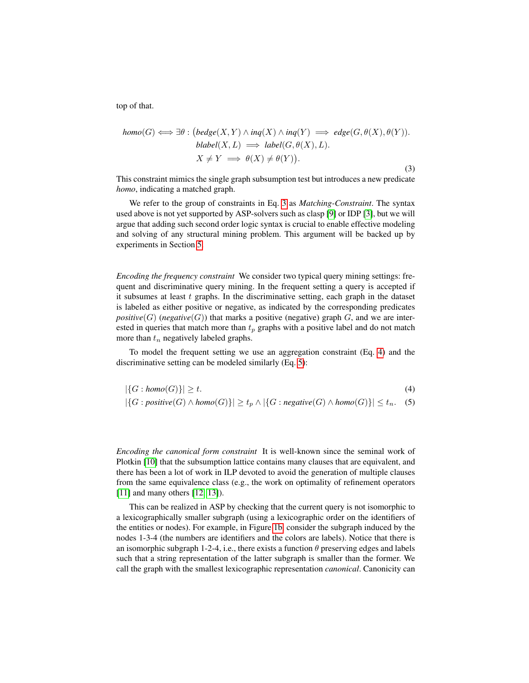top of that.

<span id="page-4-0"></span>
$$
homo(G) \iff \exists \theta : (bedge(X, Y) \land inq(X) \land inq(Y) \implies edge(G, \theta(X), \theta(Y)).
$$
  

$$
blabel(X, L) \implies label(G, \theta(X), L).
$$
  

$$
X \neq Y \implies \theta(X) \neq \theta(Y)).
$$
  
(3)

This constraint mimics the single graph subsumption test but introduces a new predicate *homo*, indicating a matched graph.

We refer to the group of constraints in Eq. [3](#page-4-0) as *Matching-Constraint*. The syntax used above is not yet supported by ASP-solvers such as clasp [\[9\]](#page-12-9) or IDP [\[3\]](#page-12-2), but we will argue that adding such second order logic syntax is crucial to enable effective modeling and solving of any structural mining problem. This argument will be backed up by experiments in Section [5.](#page-8-0)

*Encoding the frequency constraint* We consider two typical query mining settings: frequent and discriminative query mining. In the frequent setting a query is accepted if it subsumes at least  $t$  graphs. In the discriminative setting, each graph in the dataset is labeled as either positive or negative, as indicated by the corresponding predicates *positive*(G) (*negative*(G)) that marks a positive (negative) graph G, and we are interested in queries that match more than  $t_p$  graphs with a positive label and do not match more than  $t_n$  negatively labeled graphs.

To model the frequent setting we use an aggregation constraint (Eq. [4\)](#page-4-1) and the discriminative setting can be modeled similarly (Eq. [5\)](#page-4-2):

<span id="page-4-2"></span><span id="page-4-1"></span>
$$
|\{G: homo(G)\}| \ge t. \tag{4}
$$
  

$$
|\{G: positive(G) \land homo(G)\}| \ge t_p \land |\{G: negative(G) \land homo(G)\}| \le t_n. \tag{5}
$$

*Encoding the canonical form constraint* It is well-known since the seminal work of Plotkin [\[10\]](#page-12-10) that the subsumption lattice contains many clauses that are equivalent, and there has been a lot of work in ILP devoted to avoid the generation of multiple clauses from the same equivalence class (e.g., the work on optimality of refinement operators [\[11\]](#page-12-11) and many others [\[12,](#page-12-12) [13\]](#page-12-13)).

This can be realized in ASP by checking that the current query is not isomorphic to a lexicographically smaller subgraph (using a lexicographic order on the identifiers of the entities or nodes). For example, in Figure [1b,](#page-3-0) consider the subgraph induced by the nodes 1-3-4 (the numbers are identifiers and the colors are labels). Notice that there is an isomorphic subgraph 1-2-4, i.e., there exists a function  $\theta$  preserving edges and labels such that a string representation of the latter subgraph is smaller than the former. We call the graph with the smallest lexicographic representation *canonical*. Canonicity can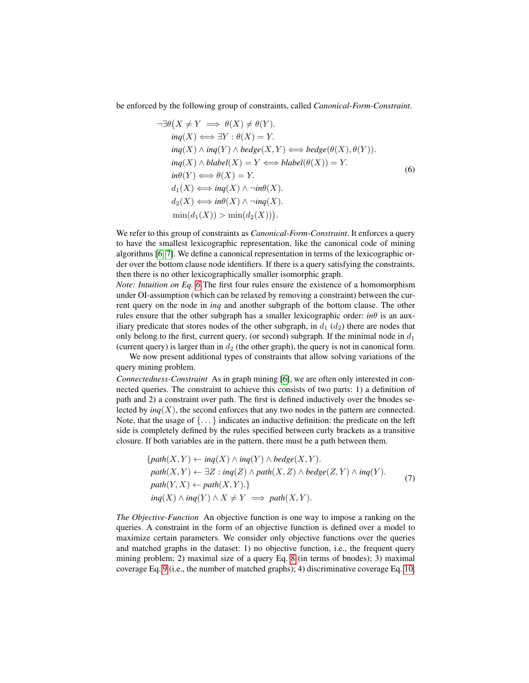be enforced by the following group of constraints, called *Canonical-Form-Constraint*.

<span id="page-5-0"></span>
$$
\neg \exists \theta \big(X \neq Y \implies \theta(X) \neq \theta(Y).
$$
  
\n
$$
inq(X) \iff \exists Y : \theta(X) = Y.
$$
  
\n
$$
inq(X) \land inq(Y) \land bedge(X, Y) \iff bedge(\theta(X), \theta(Y)).
$$
  
\n
$$
inq(X) \land blabel(X) = Y \iff blabel(\theta(X)) = Y.
$$
  
\n
$$
in\theta(Y) \iff \theta(X) = Y.
$$
  
\n
$$
d_1(X) \iff inq(X) \land \neg in\theta(X).
$$
  
\n
$$
d_2(X) \iff in\theta(X) \land \neg inq(X).
$$
  
\n
$$
\min(d_1(X)) > \min(d_2(X))).
$$
  
\n(6)

We refer to this group of constraints as *Canonical-Form-Constraint*. It enforces a query to have the smallest lexicographic representation, like the canonical code of mining algorithms [\[6,](#page-12-6) [7\]](#page-12-7). We define a canonical representation in terms of the lexicographic order over the bottom clause node identifiers. If there is a query satisfying the constraints, then there is no other lexicographically smaller isomorphic graph.

*Note: Intuition on Eq. [6](#page-5-0)* The first four rules ensure the existence of a homomorphism under OI-assumption (which can be relaxed by removing a constraint) between the current query on the node in *inq* and another subgraph of the bottom clause. The other rules ensure that the other subgraph has a smaller lexicographic order: *in* $\theta$  is an auxiliary predicate that stores nodes of the other subgraph, in  $d_1$  ( $d_2$ ) there are nodes that only belong to the first, current query, (or second) subgraph. If the minimal node in  $d_1$ (current query) is larger than in  $d_2$  (the other graph), the query is not in canonical form.

We now present additional types of constraints that allow solving variations of the query mining problem.

*Connectedness-Constraint* As in graph mining [\[6\]](#page-12-6), we are often only interested in connected queries. The constraint to achieve this consists of two parts: 1) a definition of path and 2) a constraint over path. The first is defined inductively over the bnodes selected by  $\text{inq}(X)$ , the second enforces that any two nodes in the pattern are connected. Note, that the usage of  $\{ \ldots \}$  indicates an inductive definition: the predicate on the left side is completely defined by the rules specified between curly brackets as a transitive closure. If both variables are in the pattern, there must be a path between them.

$$
\{path(X, Y) \leftarrow ing(X) \land ing(Y) \land bedge(X, Y).
$$
  
\n
$$
path(X, Y) \leftarrow \exists Z : inq(Z) \land path(X, Z) \land bedge(Z, Y) \land inq(Y).
$$
  
\n
$$
path(Y, X) \leftarrow path(X, Y). \}
$$
  
\n
$$
inq(X) \land inq(Y) \land X \neq Y \implies path(X, Y).
$$
  
\n(7)

*The Objective-Function* An objective function is one way to impose a ranking on the queries. A constraint in the form of an objective function is defined over a model to maximize certain parameters. We consider only objective functions over the queries and matched graphs in the dataset: 1) no objective function, i.e., the frequent query mining problem; 2) maximal size of a query Eq. [8](#page-6-2) (in terms of bnodes); 3) maximal coverage Eq. [9](#page-6-3) (i.e., the number of matched graphs); 4) discriminative coverage Eq. [10,](#page-6-4)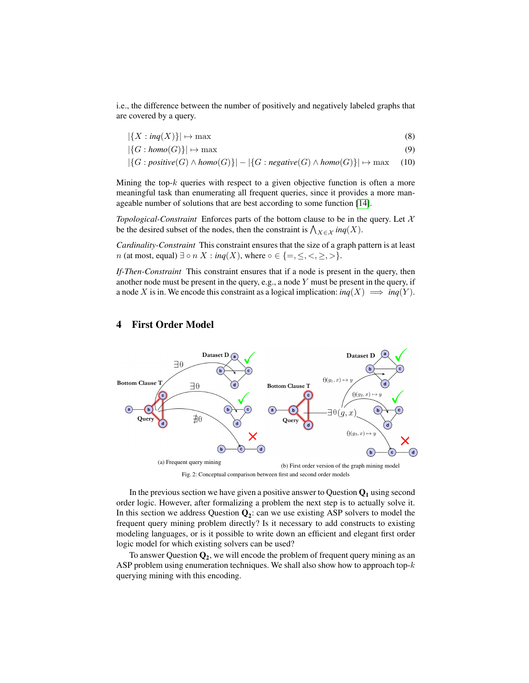i.e., the difference between the number of positively and negatively labeled graphs that are covered by a query.

<span id="page-6-3"></span><span id="page-6-2"></span>
$$
|\{X : \textit{inq}(X)\}| \mapsto \max \tag{8}
$$

$$
|\{G: homo(G)\}| \mapsto \max \tag{9}
$$

<span id="page-6-4"></span>
$$
|\{G : positive(G) \land homo(G)\}| - |\{G : negative(G) \land homo(G)\}| \mapsto \max \quad (10)
$$

Mining the top- $k$  queries with respect to a given objective function is often a more meaningful task than enumerating all frequent queries, since it provides a more manageable number of solutions that are best according to some function [\[14\]](#page-12-14).

*Topological-Constraint* Enforces parts of the bottom clause to be in the query. Let  $X$ be the desired subset of the nodes, then the constraint is  $\bigwedge_{X \in \mathcal{X}} ing(X)$ .

*Cardinality-Constraint* This constraint ensures that the size of a graph pattern is at least *n* (at most, equal)  $\exists \circ n X : \text{inq}(X)$ , where  $\circ \in \{=, \leq, <, \geq, >\}.$ 

*If-Then-Constraint* This constraint ensures that if a node is present in the query, then another node must be present in the query, e.g., a node Y must be present in the query, if a node X is in. We encode this constraint as a logical implication:  $inq(X) \implies inq(Y)$ .

<span id="page-6-1"></span>

# <span id="page-6-0"></span>4 First Order Model

Fig. 2: Conceptual comparison between first and second order models

In the previous section we have given a positive answer to Question  $Q_1$  using second order logic. However, after formalizing a problem the next step is to actually solve it. In this section we address Question  $Q_2$ : can we use existing ASP solvers to model the frequent query mining problem directly? Is it necessary to add constructs to existing modeling languages, or is it possible to write down an efficient and elegant first order logic model for which existing solvers can be used?

To answer Question  $Q_2$ , we will encode the problem of frequent query mining as an ASP problem using enumeration techniques. We shall also show how to approach top- $k$ querying mining with this encoding.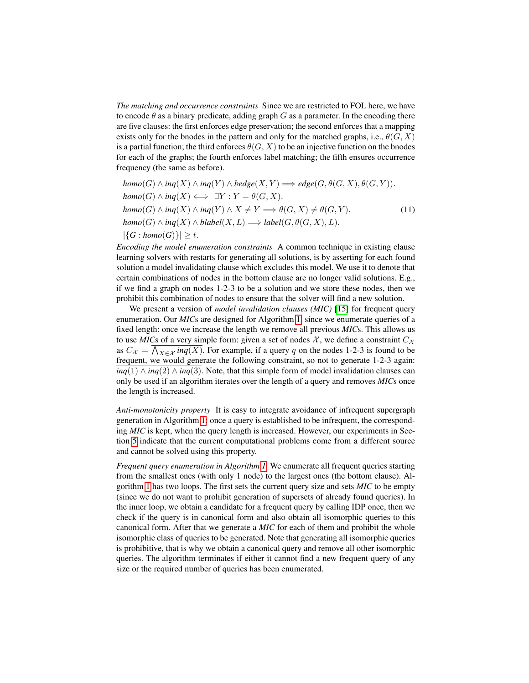*The matching and occurrence constraints* Since we are restricted to FOL here, we have to encode  $\theta$  as a binary predicate, adding graph G as a parameter. In the encoding there are five clauses: the first enforces edge preservation; the second enforces that a mapping exists only for the bnodes in the pattern and only for the matched graphs, i.e.,  $\theta(G, X)$ is a partial function; the third enforces  $\theta(G, X)$  to be an injective function on the bnodes for each of the graphs; the fourth enforces label matching; the fifth ensures occurrence frequency (the same as before).

<span id="page-7-0"></span>
$$
homo(G) \land ing(X) \land ing(Y) \land bedge(X, Y) \Longrightarrow edge(G, \theta(G, X), \theta(G, Y)).
$$
  
\n
$$
homo(G) \land ing(X) \iff \exists Y : Y = \theta(G, X).
$$
  
\n
$$
homo(G) \land ing(X) \land ing(Y) \land X \neq Y \Longrightarrow \theta(G, X) \neq \theta(G, Y).
$$
  
\n
$$
homo(G) \land ing(X) \land blabel(X, L) \Longrightarrow label(G, \theta(G, X), L).
$$
  
\n
$$
|\{G : homo(G)\}| \geq t.
$$
  
\n(11)

*Encoding the model enumeration constraints* A common technique in existing clause learning solvers with restarts for generating all solutions, is by asserting for each found solution a model invalidating clause which excludes this model. We use it to denote that certain combinations of nodes in the bottom clause are no longer valid solutions. E.g., if we find a graph on nodes 1-2-3 to be a solution and we store these nodes, then we prohibit this combination of nodes to ensure that the solver will find a new solution.

We present a version of *model invalidation clauses (MIC)* [\[15\]](#page-13-0) for frequent query enumeration. Our *MIC*s are designed for Algorithm [1,](#page-8-1) since we enumerate queries of a fixed length: once we increase the length we remove all previous *MIC*s. This allows us to use *MIC*s of a very simple form: given a set of nodes  $X$ , we define a constraint  $C_X$ as  $C_{\mathcal{X}} = \bigwedge_{X \in \mathcal{X}} ing(X)$ . For example, if a query q on the nodes 1-2-3 is found to be frequent, we would generate the following constraint, so not to generate 1-2-3 again: *inq*(1) ∧ *inq*(2) ∧ *inq*(3). Note, that this simple form of model invalidation clauses can only be used if an algorithm iterates over the length of a query and removes *MIC*s once the length is increased.

*Anti-monotonicity property* It is easy to integrate avoidance of infrequent supergraph generation in Algorithm [1:](#page-8-1) once a query is established to be infrequent, the corresponding *MIC* is kept, when the query length is increased. However, our experiments in Section [5](#page-8-0) indicate that the current computational problems come from a different source and cannot be solved using this property.

*Frequent query enumeration in Algorithm [1](#page-8-1)* We enumerate all frequent queries starting from the smallest ones (with only 1 node) to the largest ones (the bottom clause). Algorithm [1](#page-8-1) has two loops. The first sets the current query size and sets *MIC* to be empty (since we do not want to prohibit generation of supersets of already found queries). In the inner loop, we obtain a candidate for a frequent query by calling IDP once, then we check if the query is in canonical form and also obtain all isomorphic queries to this canonical form. After that we generate a *MIC* for each of them and prohibit the whole isomorphic class of queries to be generated. Note that generating all isomorphic queries is prohibitive, that is why we obtain a canonical query and remove all other isomorphic queries. The algorithm terminates if either it cannot find a new frequent query of any size or the required number of queries has been enumerated.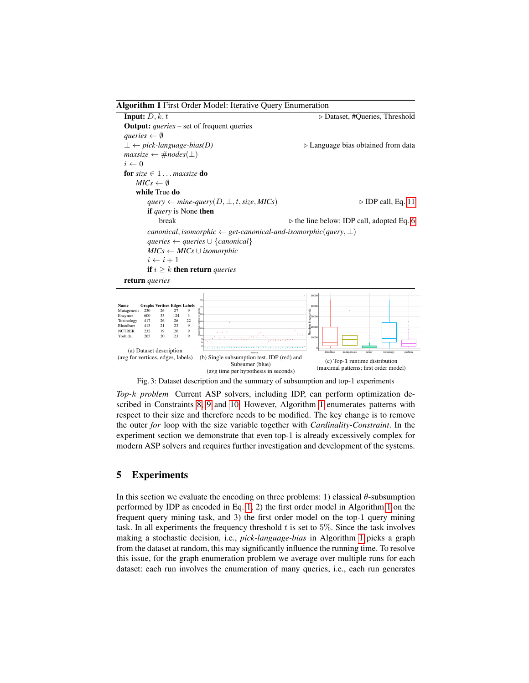#### <span id="page-8-1"></span>Algorithm 1 First Order Model: Iterative Query Enumeration

**Input:**  $D, k, t$   $\triangleright$  Dataset, #Queries, Threshold Output: *queries* – set of frequent queries *gueries*  $\leftarrow \emptyset$  $\bot \leftarrow pick-language-bias(D)$   $\triangleright$  Language bias obtained from data  $maxsize \leftarrow #nodes(\perp)$  $i \leftarrow 0$ for *size* ∈ 1 . . . *maxsize* do  $MICs \leftarrow \emptyset$ while True do  $query \leftarrow mine\text{-}query(D, \perp, t, size, MICs)$  . **DP** call, Eq. [11](#page-7-0) if *query* is None then break . the line below: IDP call, adopted Eq. [6](#page-5-0) *canonical, isomorphic*  $\leftarrow$  *get-canonical-and-isomorphic*(*query, ⊥*) *queries* ← *queries* ∪ {*canonical*} *MICs* ← *MICs* ∪ *isomorphic*  $i \leftarrow i + 1$ if  $i \geq k$  then return *queries* 

<span id="page-8-2"></span>return *queries*



Fig. 3: Dataset description and the summary of subsumption and top-1 experiments

*Top-*k *problem* Current ASP solvers, including IDP, can perform optimization described in Constraints [8,](#page-6-2) [9](#page-6-3) and [10.](#page-6-4) However, Algorithm [1](#page-8-1) enumerates patterns with respect to their size and therefore needs to be modified. The key change is to remove the outer *for* loop with the size variable together with *Cardinality-Constraint*. In the experiment section we demonstrate that even top-1 is already excessively complex for modern ASP solvers and requires further investigation and development of the systems.

#### <span id="page-8-0"></span>5 Experiments

In this section we evaluate the encoding on three problems: 1) classical  $\theta$ -subsumption performed by IDP as encoded in Eq. [1,](#page-2-1) 2) the first order model in Algorithm [1](#page-8-1) on the frequent query mining task, and 3) the first order model on the top-1 query mining task. In all experiments the frequency threshold  $t$  is set to 5%. Since the task involves making a stochastic decision, i.e., *pick-language-bias* in Algorithm [1](#page-8-1) picks a graph from the dataset at random, this may significantly influence the running time. To resolve this issue, for the graph enumeration problem we average over multiple runs for each dataset: each run involves the enumeration of many queries, i.e., each run generates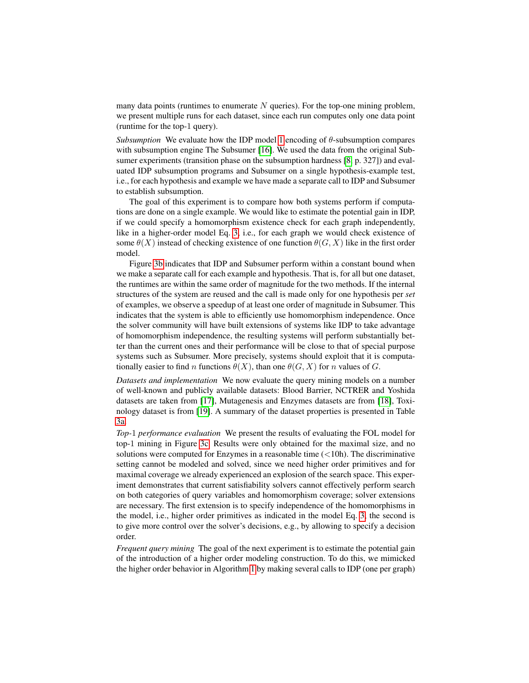many data points (runtimes to enumerate  $N$  queries). For the top-one mining problem, we present multiple runs for each dataset, since each run computes only one data point (runtime for the top-1 query).

*Subsumption* We evaluate how the IDP model [1](#page-2-1) encoding of  $\theta$ -subsumption compares with subsumption engine The Subsumer [\[16\]](#page-13-1). We used the data from the original Sub-sumer experiments (transition phase on the subsumption hardness [\[8,](#page-12-8) p. 327]) and evaluated IDP subsumption programs and Subsumer on a single hypothesis-example test, i.e., for each hypothesis and example we have made a separate call to IDP and Subsumer to establish subsumption.

The goal of this experiment is to compare how both systems perform if computations are done on a single example. We would like to estimate the potential gain in IDP, if we could specify a homomorphism existence check for each graph independently, like in a higher-order model Eq. [3,](#page-4-0) i.e., for each graph we would check existence of some  $\theta(X)$  instead of checking existence of one function  $\theta(G, X)$  like in the first order model.

Figure [3b](#page-8-2) indicates that IDP and Subsumer perform within a constant bound when we make a separate call for each example and hypothesis. That is, for all but one dataset, the runtimes are within the same order of magnitude for the two methods. If the internal structures of the system are reused and the call is made only for one hypothesis per *set* of examples, we observe a speedup of at least one order of magnitude in Subsumer. This indicates that the system is able to efficiently use homomorphism independence. Once the solver community will have built extensions of systems like IDP to take advantage of homomorphism independence, the resulting systems will perform substantially better than the current ones and their performance will be close to that of special purpose systems such as Subsumer. More precisely, systems should exploit that it is computationally easier to find n functions  $\theta(X)$ , than one  $\theta(G, X)$  for n values of G.

*Datasets and implementation* We now evaluate the query mining models on a number of well-known and publicly available datasets: Blood Barrier, NCTRER and Yoshida datasets are taken from [\[17\]](#page-13-2), Mutagenesis and Enzymes datasets are from [\[18\]](#page-13-3), Toxinology dataset is from [\[19\]](#page-13-4). A summary of the dataset properties is presented in Table [3a.](#page-8-2)

*Top-*1 *performance evaluation* We present the results of evaluating the FOL model for top-1 mining in Figure [3c.](#page-8-2) Results were only obtained for the maximal size, and no solutions were computed for Enzymes in a reasonable time  $\left($  < 10h). The discriminative setting cannot be modeled and solved, since we need higher order primitives and for maximal coverage we already experienced an explosion of the search space. This experiment demonstrates that current satisfiability solvers cannot effectively perform search on both categories of query variables and homomorphism coverage; solver extensions are necessary. The first extension is to specify independence of the homomorphisms in the model, i.e., higher order primitives as indicated in the model Eq. [3,](#page-4-0) the second is to give more control over the solver's decisions, e.g., by allowing to specify a decision order.

*Frequent query mining* The goal of the next experiment is to estimate the potential gain of the introduction of a higher order modeling construction. To do this, we mimicked the higher order behavior in Algorithm [1](#page-8-1) by making several calls to IDP (one per graph)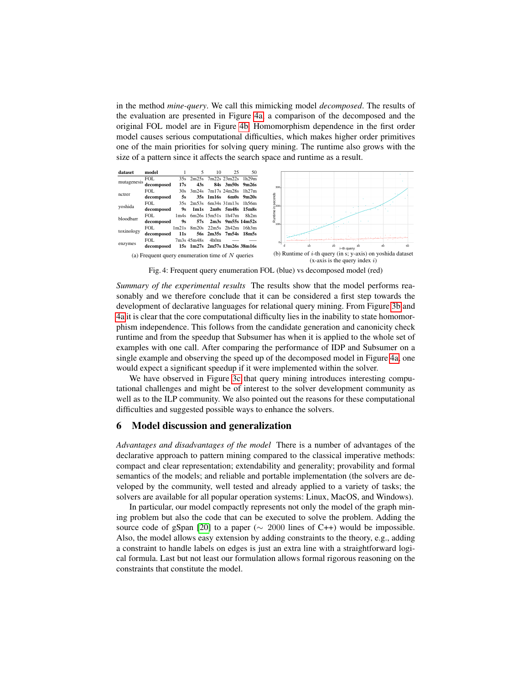in the method *mine-query*. We call this mimicking model *decomposed*. The results of the evaluation are presented in Figure [4a,](#page-10-1) a comparison of the decomposed and the original FOL model are in Figure [4b.](#page-10-1) Homomorphism dependence in the first order model causes serious computational difficulties, which makes higher order primitives one of the main priorities for solving query mining. The runtime also grows with the size of a pattern since it affects the search space and runtime as a result.

<span id="page-10-1"></span>

Fig. 4: Frequent query enumeration FOL (blue) vs decomposed model (red)

*Summary of the experimental results* The results show that the model performs reasonably and we therefore conclude that it can be considered a first step towards the development of declarative languages for relational query mining. From Figure [3b](#page-8-2) and [4a](#page-10-1) it is clear that the core computational difficulty lies in the inability to state homomorphism independence. This follows from the candidate generation and canonicity check runtime and from the speedup that Subsumer has when it is applied to the whole set of examples with one call. After comparing the performance of IDP and Subsumer on a single example and observing the speed up of the decomposed model in Figure [4a,](#page-10-1) one would expect a significant speedup if it were implemented within the solver.

We have observed in Figure [3c](#page-8-2) that query mining introduces interesting computational challenges and might be of interest to the solver development community as well as to the ILP community. We also pointed out the reasons for these computational difficulties and suggested possible ways to enhance the solvers.

# <span id="page-10-0"></span>6 Model discussion and generalization

*Advantages and disadvantages of the model* There is a number of advantages of the declarative approach to pattern mining compared to the classical imperative methods: compact and clear representation; extendability and generality; provability and formal semantics of the models; and reliable and portable implementation (the solvers are developed by the community, well tested and already applied to a variety of tasks; the solvers are available for all popular operation systems: Linux, MacOS, and Windows).

In particular, our model compactly represents not only the model of the graph mining problem but also the code that can be executed to solve the problem. Adding the source code of gSpan [\[20\]](#page-13-5) to a paper ( $\sim 2000$  lines of C++) would be impossible. Also, the model allows easy extension by adding constraints to the theory, e.g., adding a constraint to handle labels on edges is just an extra line with a straightforward logical formula. Last but not least our formulation allows formal rigorous reasoning on the constraints that constitute the model.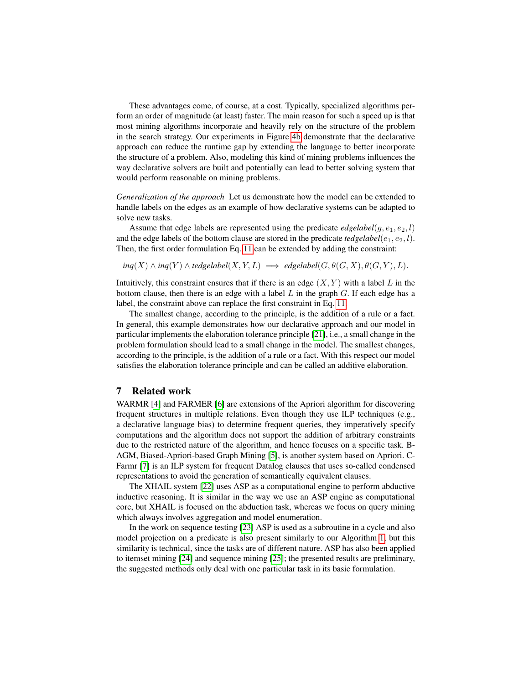These advantages come, of course, at a cost. Typically, specialized algorithms perform an order of magnitude (at least) faster. The main reason for such a speed up is that most mining algorithms incorporate and heavily rely on the structure of the problem in the search strategy. Our experiments in Figure [4b](#page-10-1) demonstrate that the declarative approach can reduce the runtime gap by extending the language to better incorporate the structure of a problem. Also, modeling this kind of mining problems influences the way declarative solvers are built and potentially can lead to better solving system that would perform reasonable on mining problems.

*Generalization of the approach* Let us demonstrate how the model can be extended to handle labels on the edges as an example of how declarative systems can be adapted to solve new tasks.

Assume that edge labels are represented using the predicate *edgelabel* $(g, e_1, e_2, l)$ and the edge labels of the bottom clause are stored in the predicate *tedgelabel*( $e_1, e_2, l$ ). Then, the first order formulation Eq. [11](#page-7-0) can be extended by adding the constraint:

 $ing(X) \wedge ing(Y) \wedge tedgelabel(X, Y, L) \implies edgelabel(G, \theta(G, X), \theta(G, Y), L).$ 

Intuitively, this constraint ensures that if there is an edge  $(X, Y)$  with a label L in the bottom clause, then there is an edge with a label  $L$  in the graph  $G$ . If each edge has a label, the constraint above can replace the first constraint in Eq. [11.](#page-7-0)

The smallest change, according to the principle, is the addition of a rule or a fact. In general, this example demonstrates how our declarative approach and our model in particular implements the elaboration tolerance principle [\[21\]](#page-13-6), i.e., a small change in the problem formulation should lead to a small change in the model. The smallest changes, according to the principle, is the addition of a rule or a fact. With this respect our model satisfies the elaboration tolerance principle and can be called an additive elaboration.

#### <span id="page-11-0"></span>7 Related work

WARMR [\[4\]](#page-12-4) and FARMER [\[6\]](#page-12-6) are extensions of the Apriori algorithm for discovering frequent structures in multiple relations. Even though they use ILP techniques (e.g., a declarative language bias) to determine frequent queries, they imperatively specify computations and the algorithm does not support the addition of arbitrary constraints due to the restricted nature of the algorithm, and hence focuses on a specific task. B-AGM, Biased-Apriori-based Graph Mining [\[5\]](#page-12-5), is another system based on Apriori. C-Farmr [\[7\]](#page-12-7) is an ILP system for frequent Datalog clauses that uses so-called condensed representations to avoid the generation of semantically equivalent clauses.

The XHAIL system [\[22\]](#page-13-7) uses ASP as a computational engine to perform abductive inductive reasoning. It is similar in the way we use an ASP engine as computational core, but XHAIL is focused on the abduction task, whereas we focus on query mining which always involves aggregation and model enumeration.

In the work on sequence testing [\[23\]](#page-13-8) ASP is used as a subroutine in a cycle and also model projection on a predicate is also present similarly to our Algorithm [1,](#page-8-1) but this similarity is technical, since the tasks are of different nature. ASP has also been applied to itemset mining [\[24\]](#page-13-9) and sequence mining [\[25\]](#page-13-10); the presented results are preliminary, the suggested methods only deal with one particular task in its basic formulation.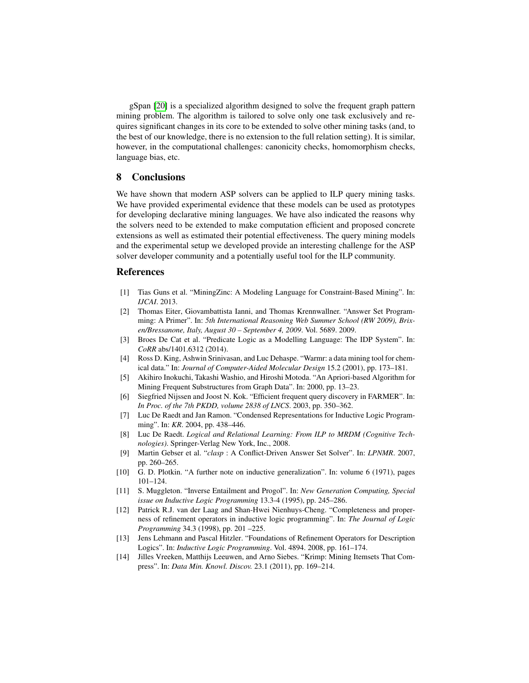gSpan [\[20\]](#page-13-5) is a specialized algorithm designed to solve the frequent graph pattern mining problem. The algorithm is tailored to solve only one task exclusively and requires significant changes in its core to be extended to solve other mining tasks (and, to the best of our knowledge, there is no extension to the full relation setting). It is similar, however, in the computational challenges: canonicity checks, homomorphism checks, language bias, etc.

## <span id="page-12-3"></span>8 Conclusions

We have shown that modern ASP solvers can be applied to ILP query mining tasks. We have provided experimental evidence that these models can be used as prototypes for developing declarative mining languages. We have also indicated the reasons why the solvers need to be extended to make computation efficient and proposed concrete extensions as well as estimated their potential effectiveness. The query mining models and the experimental setup we developed provide an interesting challenge for the ASP solver developer community and a potentially useful tool for the ILP community.

## References

- <span id="page-12-0"></span>[1] Tias Guns et al. "MiningZinc: A Modeling Language for Constraint-Based Mining". In: *IJCAI*. 2013.
- <span id="page-12-1"></span>[2] Thomas Eiter, Giovambattista Ianni, and Thomas Krennwallner. "Answer Set Programming: A Primer". In: *5th International Reasoning Web Summer School (RW 2009), Brixen/Bressanone, Italy, August 30 – September 4, 2009*. Vol. 5689. 2009.
- <span id="page-12-2"></span>[3] Broes De Cat et al. "Predicate Logic as a Modelling Language: The IDP System". In: *CoRR* abs/1401.6312 (2014).
- <span id="page-12-4"></span>[4] Ross D. King, Ashwin Srinivasan, and Luc Dehaspe. "Warmr: a data mining tool for chemical data." In: *Journal of Computer-Aided Molecular Design* 15.2 (2001), pp. 173–181.
- <span id="page-12-5"></span>[5] Akihiro Inokuchi, Takashi Washio, and Hiroshi Motoda. "An Apriori-based Algorithm for Mining Frequent Substructures from Graph Data". In: 2000, pp. 13–23.
- <span id="page-12-6"></span>[6] Siegfried Nijssen and Joost N. Kok. "Efficient frequent query discovery in FARMER". In: *In Proc. of the 7th PKDD, volume 2838 of LNCS*. 2003, pp. 350–362.
- <span id="page-12-7"></span>[7] Luc De Raedt and Jan Ramon. "Condensed Representations for Inductive Logic Programming". In: *KR*. 2004, pp. 438–446.
- <span id="page-12-8"></span>[8] Luc De Raedt. *Logical and Relational Learning: From ILP to MRDM (Cognitive Technologies)*. Springer-Verlag New York, Inc., 2008.
- <span id="page-12-9"></span>[9] Martin Gebser et al. "*clasp* : A Conflict-Driven Answer Set Solver". In: *LPNMR*. 2007, pp. 260–265.
- <span id="page-12-10"></span>[10] G. D. Plotkin. "A further note on inductive generalization". In: volume 6 (1971), pages 101–124.
- <span id="page-12-11"></span>[11] S. Muggleton. "Inverse Entailment and Progol". In: *New Generation Computing, Special issue on Inductive Logic Programming* 13.3-4 (1995), pp. 245–286.
- <span id="page-12-12"></span>[12] Patrick R.J. van der Laag and Shan-Hwei Nienhuys-Cheng. "Completeness and properness of refinement operators in inductive logic programming". In: *The Journal of Logic Programming* 34.3 (1998), pp. 201 –225.
- <span id="page-12-13"></span>[13] Jens Lehmann and Pascal Hitzler. "Foundations of Refinement Operators for Description Logics". In: *Inductive Logic Programming*. Vol. 4894. 2008, pp. 161–174.
- <span id="page-12-14"></span>[14] Jilles Vreeken, Matthijs Leeuwen, and Arno Siebes. "Krimp: Mining Itemsets That Compress". In: *Data Min. Knowl. Discov.* 23.1 (2011), pp. 169–214.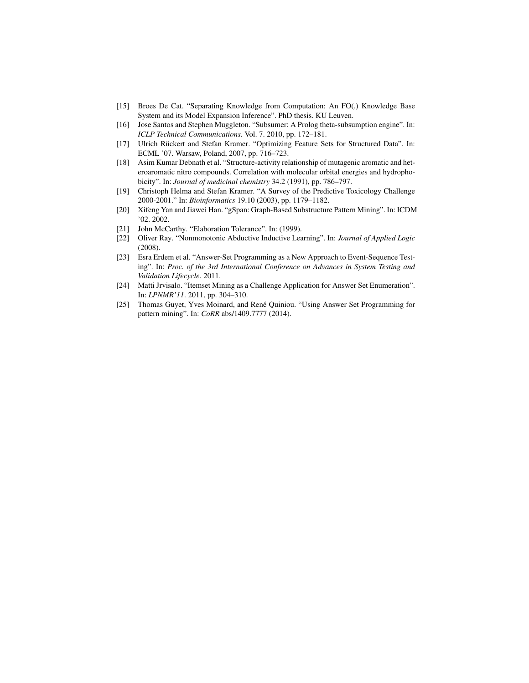- <span id="page-13-0"></span>[15] Broes De Cat. "Separating Knowledge from Computation: An FO(.) Knowledge Base System and its Model Expansion Inference". PhD thesis. KU Leuven.
- <span id="page-13-1"></span>[16] Jose Santos and Stephen Muggleton. "Subsumer: A Prolog theta-subsumption engine". In: *ICLP Technical Communications*. Vol. 7. 2010, pp. 172–181.
- <span id="page-13-2"></span>[17] Ulrich Rückert and Stefan Kramer. "Optimizing Feature Sets for Structured Data". In: ECML '07. Warsaw, Poland, 2007, pp. 716–723.
- <span id="page-13-3"></span>[18] Asim Kumar Debnath et al. "Structure-activity relationship of mutagenic aromatic and heteroaromatic nitro compounds. Correlation with molecular orbital energies and hydrophobicity". In: *Journal of medicinal chemistry* 34.2 (1991), pp. 786–797.
- <span id="page-13-4"></span>[19] Christoph Helma and Stefan Kramer. "A Survey of the Predictive Toxicology Challenge 2000-2001." In: *Bioinformatics* 19.10 (2003), pp. 1179–1182.
- <span id="page-13-5"></span>[20] Xifeng Yan and Jiawei Han. "gSpan: Graph-Based Substructure Pattern Mining". In: ICDM '02. 2002.
- <span id="page-13-6"></span>[21] John McCarthy. "Elaboration Tolerance". In: (1999).
- <span id="page-13-7"></span>[22] Oliver Ray. "Nonmonotonic Abductive Inductive Learning". In: *Journal of Applied Logic* (2008).
- <span id="page-13-8"></span>[23] Esra Erdem et al. "Answer-Set Programming as a New Approach to Event-Sequence Testing". In: *Proc. of the 3rd International Conference on Advances in System Testing and Validation Lifecycle*. 2011.
- <span id="page-13-9"></span>[24] Matti Jrvisalo. "Itemset Mining as a Challenge Application for Answer Set Enumeration". In: *LPNMR'11*. 2011, pp. 304–310.
- <span id="page-13-10"></span>[25] Thomas Guyet, Yves Moinard, and René Quiniou. "Using Answer Set Programming for pattern mining". In: *CoRR* abs/1409.7777 (2014).